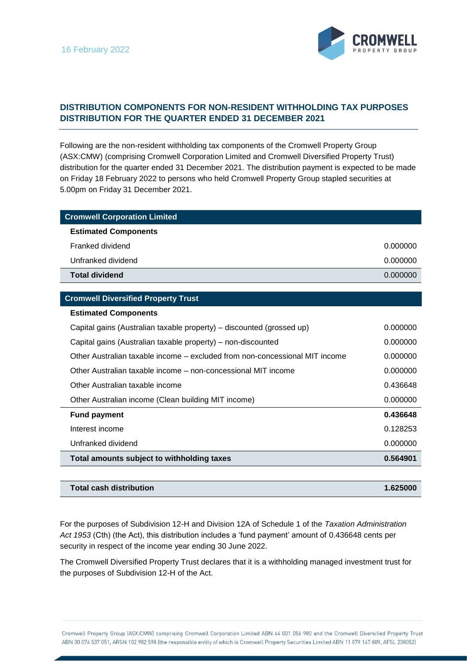

## **DISTRIBUTION COMPONENTS FOR NON-RESIDENT WITHHOLDING TAX PURPOSES DISTRIBUTION FOR THE QUARTER ENDED 31 DECEMBER 2021**

Following are the non-resident withholding tax components of the Cromwell Property Group (ASX:CMW) (comprising Cromwell Corporation Limited and Cromwell Diversified Property Trust) distribution for the quarter ended 31 December 2021. The distribution payment is expected to be made on Friday 18 February 2022 to persons who held Cromwell Property Group stapled securities at 5.00pm on Friday 31 December 2021.

| <b>Cromwell Corporation Limited</b> |          |
|-------------------------------------|----------|
| <b>Estimated Components</b>         |          |
| Franked dividend                    | 0.000000 |
| Unfranked dividend                  | 0.000000 |
| <b>Total dividend</b>               | 0.000000 |

## **Cromwell Diversified Property Trust**

## **Estimated Components**

| Capital gains (Australian taxable property) – discounted (grossed up)       | 0.000000 |
|-----------------------------------------------------------------------------|----------|
| Capital gains (Australian taxable property) – non-discounted                | 0.000000 |
| Other Australian taxable income – excluded from non-concessional MIT income | 0.000000 |
| Other Australian taxable income – non-concessional MIT income               | 0.000000 |
| Other Australian taxable income                                             | 0.436648 |
| Other Australian income (Clean building MIT income)                         | 0.000000 |
| <b>Fund payment</b>                                                         | 0.436648 |
| Interest income                                                             | 0.128253 |
| Unfranked dividend                                                          | 0.000000 |
| Total amounts subject to withholding taxes                                  | 0.564901 |

| Total cash distribution | 1.625000 |
|-------------------------|----------|
|                         |          |

For the purposes of Subdivision 12-H and Division 12A of Schedule 1 of the *Taxation Administration Act 1953* (Cth) (the Act), this distribution includes a 'fund payment' amount of 0.436648 cents per security in respect of the income year ending 30 June 2022.

The Cromwell Diversified Property Trust declares that it is a withholding managed investment trust for the purposes of Subdivision 12-H of the Act.

Cromwell Property Group (ASX:CMW) comprising Cromwell Corporation Limited ABN 44 001 056 980 and the Cromwell Diversified Property Trust ABN 30 074 537 051, ARSN 102 982 598 (the responsible entity of which is Cromwell Property Securities Limited ABN 11 079 147 809, AFSL 238052)